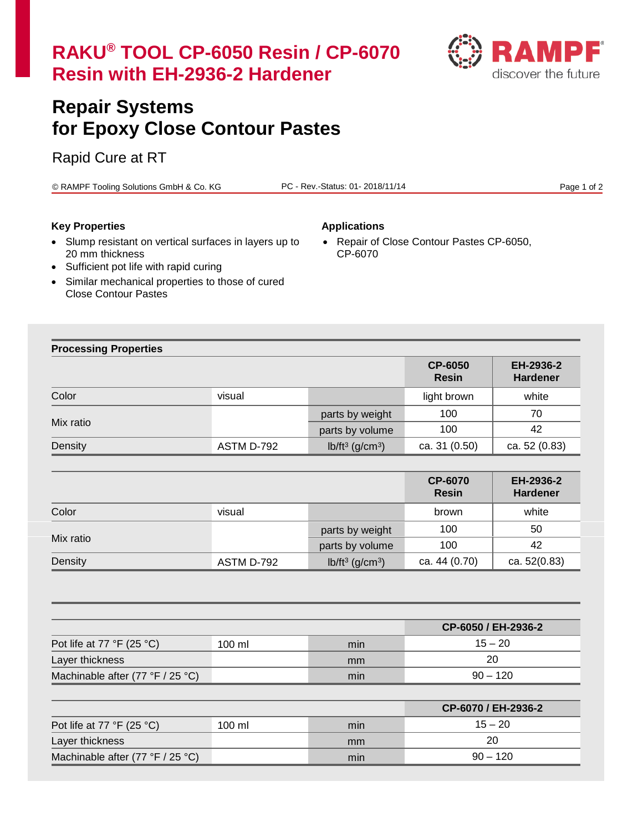

# **Repair Systems for Epoxy Close Contour Pastes**

# Rapid Cure at RT

© RAMPF Tooling Solutions GmbH & Co. KG PC - Rev.-Status: 01- 2018/11/14 Page 1 of 2

### **Key Properties Applications**

CP-6070

• Repair of Close Contour Pastes CP-6050,

- Slump resistant on vertical surfaces in layers up to 20 mm thickness
- Sufficient pot life with rapid curing
- Similar mechanical properties to those of cured Close Contour Pastes

## **Processing Properties**

|           |            |                                | <b>CP-6050</b><br><b>Resin</b> | EH-2936-2<br><b>Hardener</b> |
|-----------|------------|--------------------------------|--------------------------------|------------------------------|
| Color     | visual     |                                | light brown                    | white                        |
| Mix ratio |            | parts by weight                | 100                            | 70                           |
|           |            | parts by volume                | 100                            | 42                           |
| Density   | ASTM D-792 | $lb/ft^3$ (g/cm <sup>3</sup> ) | ca. 31 (0.50)                  | ca. 52 (0.83)                |

|           |            |                                | <b>CP-6070</b><br><b>Resin</b> | EH-2936-2<br><b>Hardener</b> |
|-----------|------------|--------------------------------|--------------------------------|------------------------------|
| Color     | visual     |                                | brown                          | white                        |
| Mix ratio |            | parts by weight                | 100                            | 50                           |
|           |            | parts by volume                | 100                            | 42                           |
| Density   | ASTM D-792 | $lb/ft^3$ (g/cm <sup>3</sup> ) | ca. 44 (0.70)                  | ca. 52(0.83)                 |

|                                             |        |     | CP-6050 / EH-2936-2 |
|---------------------------------------------|--------|-----|---------------------|
| Pot life at 77 $\degree$ F (25 $\degree$ C) | 100 ml | min | $15 - 20$           |
| Layer thickness                             |        | mm  | 20                  |
| Machinable after $(77 °F / 25 °C)$          |        | min | $90 - 120$          |

|                                             |        |     | CP-6070 / EH-2936-2 |
|---------------------------------------------|--------|-----|---------------------|
| Pot life at 77 $\degree$ F (25 $\degree$ C) | 100 ml | min | $15 - 20$           |
| Layer thickness                             |        | mm  | 20                  |
| Machinable after $(77 °F / 25 °C)$          |        | min | $90 - 120$          |